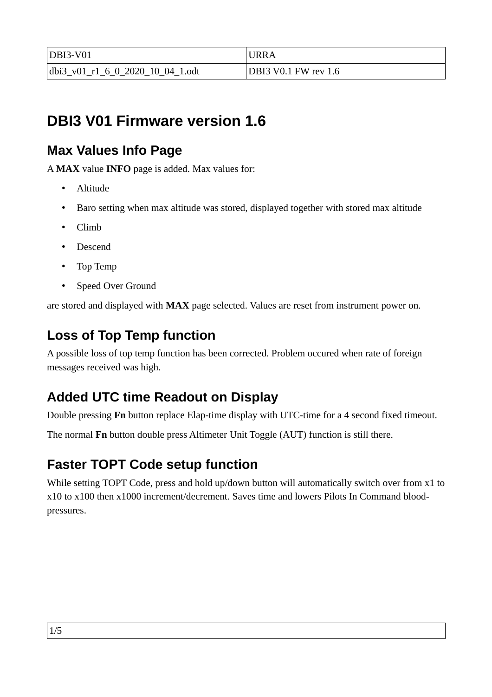| $DBI3-V01$                       | URRA                        |
|----------------------------------|-----------------------------|
| dbi3 v01 r1 6 0 2020 10 04 1.odt | <b>DBI3 V0.1 FW rev 1.6</b> |

# **DBI3 V01 Firmware version 1.6**

## **Max Values Info Page**

A **MAX** value **INFO** page is added. Max values for:

- Altitude
- Baro setting when max altitude was stored, displayed together with stored max altitude
- Climb
- Descend
- Top Temp
- Speed Over Ground

are stored and displayed with **MAX** page selected. Values are reset from instrument power on.

### **Loss of Top Temp function**

A possible loss of top temp function has been corrected. Problem occured when rate of foreign messages received was high.

## **Added UTC time Readout on Display**

Double pressing **Fn** button replace Elap-time display with UTC-time for a 4 second fixed timeout.

The normal **Fn** button double press Altimeter Unit Toggle (AUT) function is still there.

### **Faster TOPT Code setup function**

While setting TOPT Code, press and hold up/down button will automatically switch over from x1 to x10 to x100 then x1000 increment/decrement. Saves time and lowers Pilots In Command bloodpressures.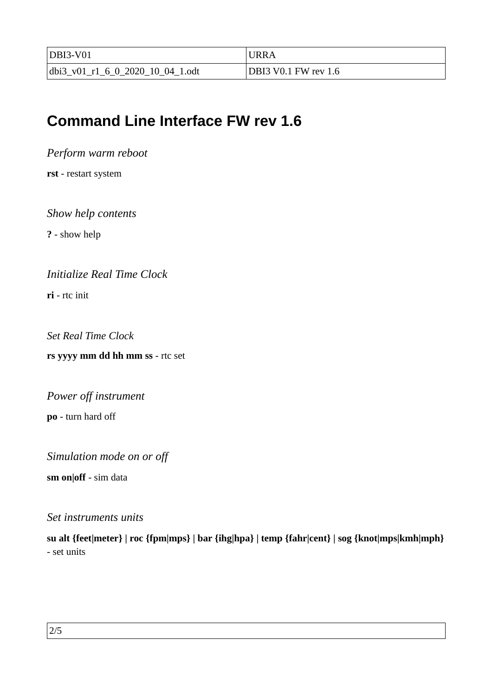| $DBI3-V01$                       | URRA                                |
|----------------------------------|-------------------------------------|
| dbi3 v01 r1 6 0 2020 10 04 1.odt | $\mathrm{^{1}DBl3}$ V0.1 FW rev 1.6 |

# **Command Line Interface FW rev 1.6**

*Perform warm reboot*

**rst** - restart system

*Show help contents*

**?** - show help

*Initialize Real Time Clock*

**ri** - rtc init

*Set Real Time Clock*

**rs yyyy mm dd hh mm ss** - rtc set

*Power off instrument* **po** - turn hard off

*Simulation mode on or off*

**sm on|off** - sim data

*Set instruments units*

**su alt {feet|meter} | roc {fpm|mps} | bar {ihg|hpa} | temp {fahr|cent} | sog {knot|mps|kmh|mph}** - set units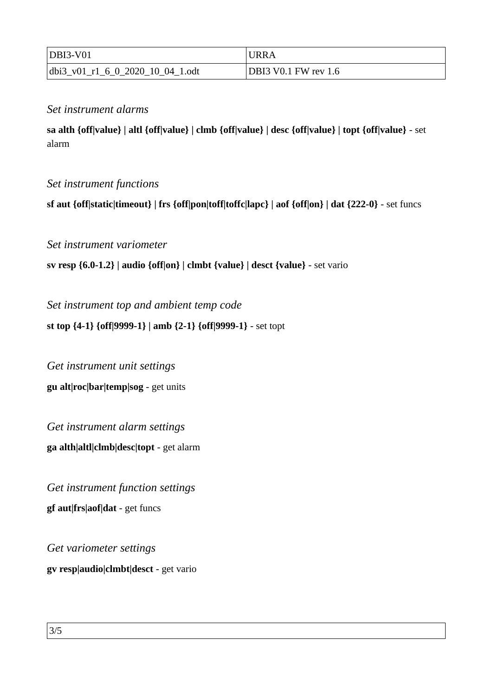| $DBI3-V01$                       | 'JRRA                |
|----------------------------------|----------------------|
| dbi3 v01 r1 6 0 2020 10 04 1.odt | DBI3 V0.1 FW rev 1.6 |

#### *Set instrument alarms*

**sa alth {off|value} | altl {off|value} | clmb {off|value} | desc {off|value} | topt {off|value}** - set alarm

#### *Set instrument functions*

**sf aut {off|static|timeout} | frs {off|pon|toff|toffc|lapc} | aof {off|on} | dat {222-0}** - set funcs

*Set instrument variometer* 

**sv resp {6.0-1.2} | audio {off|on} | clmbt {value} | desct {value}** - set vario

*Set instrument top and ambient temp code*

**st top {4-1} {off|9999-1} | amb {2-1} {off|9999-1}** - set topt

*Get instrument unit settings* **gu alt|roc|bar|temp|sog** - get units

*Get instrument alarm settings* **ga alth|altl|clmb|desc|topt** - get alarm

*Get instrument function settings* **gf aut|frs|aof|dat** - get funcs

*Get variometer settings* **gv resp|audio|clmbt|desct** - get vario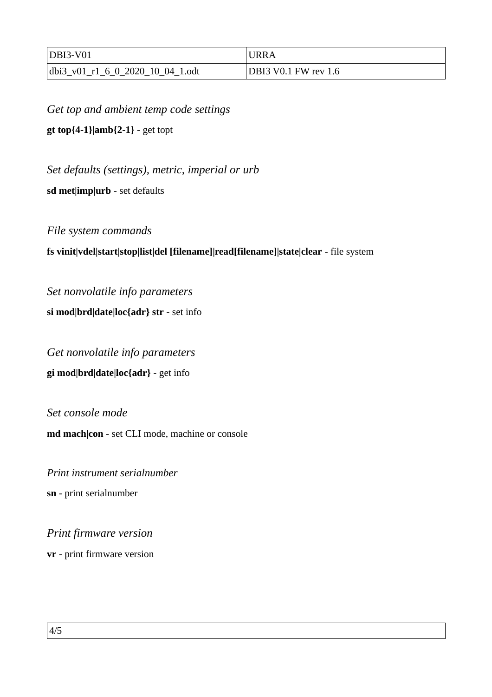| $DBI3-V01$                       | <b>URRA</b>          |
|----------------------------------|----------------------|
| dbi3 v01 r1 6 0 2020 10 04 1.odt | DBI3 V0.1 FW rev 1.6 |

*Get top and ambient temp code settings* **gt top{4-1}|amb{2-1}** - get topt

*Set defaults (settings), metric, imperial or urb*

**sd met|imp|urb** - set defaults

*File system commands*

#### **fs vinit|vdel|start|stop|list|del [filename]|read[filename]|state|clear** - file system

*Set nonvolatile info parameters* **si mod|brd|date|loc{adr} str** - set info

*Get nonvolatile info parameters* **gi mod|brd|date|loc{adr}** - get info

*Set console mode*  **md mach|con** - set CLI mode, machine or console

*Print instrument serialnumber* **sn** - print serialnumber

*Print firmware version*

**vr** - print firmware version